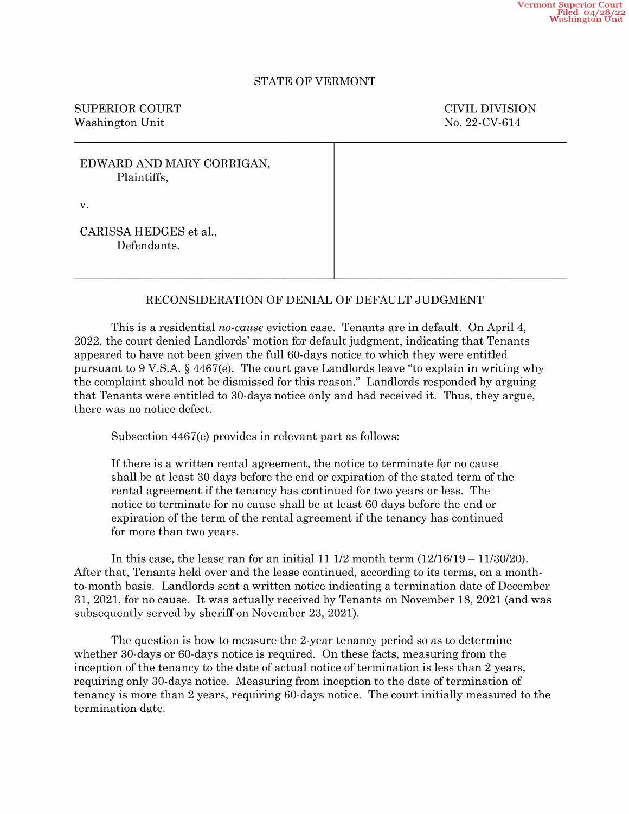## STATE OF VERMONT

SUPERIOR COURT COURT COURT COURT Washington Unit No. 22-CV-614

| EDWARD AND MARY CORRIGAN,<br>Plaintiffs, |  |
|------------------------------------------|--|
| v.                                       |  |
| CARISSA HEDGES et al.,<br>Defendants.    |  |

## RECONSIDERATION OF DENIAL OF DEFAULT JUDGMENT

This is a residential no-cause eviction case. Tenants are in default. On April 4, 2022, the court denied Landlords' motion for default judgment, indicating that Tenants appeared t0 have not been given the full 60-days notice to which they were entitled pursuant to  $9 \text{ V.S.A.}$   $\frac{6}{5}$  4467(e). The court gave Landlords leave "to explain in writing why the complaint should not be dismissed for this reason." Landlords responded by arguing that Tenants were entitled to 30-days notice only and had received it. Thus, they argue, there was no notice defect.

Subsection 4467(e) provides in relevant part as follows:

If there is written rental agreement, the notice to terminate for no cause shall be at least 3O days before the end or expiration of the stated term of the rental agreement if the tenancy has continued for two years or less. The notice to terminate for no cause shall be at least 6O days before the end or expiration of the term of the rental agreement if the tenancy has continued for more than two years.

In this case, the lease ran for an initial 11 1/2 month term  $(12/16/19 - 11/30/20)$ .<br>After that, Tenants held over and the lease continued, according to its terms, on a monthto-month basis. Landlords sent a written notice indicating a termination date of December 31, 2021, for no cause. It was actually received by Tenants on November 18, 2021 (and was subsequently served by sheriff on November 23, 2021).

The question is how to measure the 2-year tenancy period so as to determine whether 30-days or 60-days notice is required. On these facts, measuring from the inception of the tenancy to the date of actual notice of termination is less than 2 years, requiring only 30-days notice. Measuring from inception to the date of termination of tenancy is more than 2 years, requiring 60-days notice. The court initially measured to the termination date.